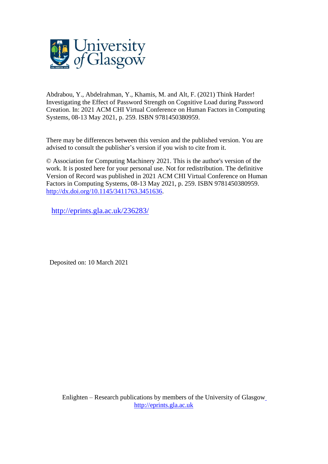

Abdrabou, Y., Abdelrahman, Y., Khamis, M. and Alt, F. (2021) Think Harder! Investigating the Effect of Password Strength on Cognitive Load during Password Creation. In: 2021 ACM CHI Virtual Conference on Human Factors in Computing Systems, 08-13 May 2021, p. 259. ISBN 9781450380959.

There may be differences between this version and the published version. You are advised to consult the publisher's version if you wish to cite from it.

© Association for Computing Machinery 2021. This is the author's version of the work. It is posted here for your personal use. Not for redistribution. The definitive Version of Record was published in 2021 ACM CHI Virtual Conference on Human Factors in Computing Systems, 08-13 May 2021, p. 259. ISBN 9781450380959. [http://dx.doi.org/10.1145/3411763.3451636.](http://dx.doi.org/10.1145/3411763.3451636)

<http://eprints.gla.ac.uk/236283/>

Deposited on: 10 March 2021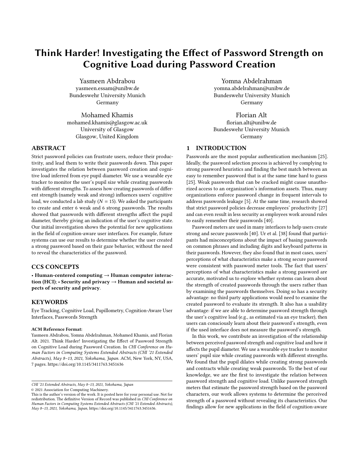# Think Harder! Investigating the Effect of Password Strength on Cognitive Load during Password Creation

Yasmeen Abdrabou yasmeen.essam@unibw.de Bundeswehr University Munich Germany

Mohamed Khamis mohamed.khamis@glasgow.ac.uk University of Glasgow Glasgow, United Kingdom

## ABSTRACT

Strict password policies can frustrate users, reduce their productivity, and lead them to write their passwords down. This paper investigates the relation between password creation and cognitive load inferred from eye pupil diameter. We use a wearable eye tracker to monitor the user's pupil size while creating passwords with different strengths. To assess how creating passwords of different strength (namely weak and strong) influences users' cognitive load, we conducted a lab study ( $N = 15$ ). We asked the participants to create and enter 6 weak and 6 strong passwords. The results showed that passwords with different strengths affect the pupil diameter, thereby giving an indication of the user's cognitive state. Our initial investigation shows the potential for new applications in the field of cognition-aware user interfaces. For example, future systems can use our results to determine whether the user created a strong password based on their gaze behavior, without the need to reveal the characteristics of the password.

## CCS CONCEPTS

• Human-centered computing  $\rightarrow$  Human computer interaction (HCI);  $\cdot$  Security and privacy  $\rightarrow$  Human and societal aspects of security and privacy.

## **KEYWORDS**

Eye Tracking, Cognitive Load, Pupillometry, Cognition-Aware User Interfaces, Passwords Strength

#### ACM Reference Format:

Yasmeen Abdrabou, Yomna Abdelrahman, Mohamed Khamis, and Florian Alt. 2021. Think Harder! Investigating the Effect of Password Strength on Cognitive Load during Password Creation. In CHI Conference on Human Factors in Computing Systems Extended Abstracts (CHI '21 Extended Abstracts), May 8–13, 2021, Yokohama, Japan. ACM, New York, NY, USA, 7 pages.<https://doi.org/10.1145/3411763.3451636>

CHI '21 Extended Abstracts, May 8–13, 2021, Yokohama, Japan

© 2021 Association for Computing Machinery.

Yomna Abdelrahman yomna.abdelrahman@unibw.de Bundeswehr University Munich Germany

Florian Alt florian.alt@unibw.de Bundeswehr University Munich Germany

## 1 INTRODUCTION

Passwords are the most popular authentication mechanism [25]. Ideally, the password selection process is achieved by complying to strong password heuristics and finding the best match between an easy to remember password that is at the same time hard to guess [25]. Weak passwords that can be cracked might cause unauthorized access to an organization's information assets. Thus, many organizations enforce password change in frequent intervals to address passwords leakage [5]. At the same time, research showed that strict password policies decrease employees' productivity [27] and can even result in less security as employees work around rules to easily remember their passwords [40].

Password meters are used in many interfaces to help users create strong and secure passwords [40]. Ur et al. [38] found that participants had misconceptions about the impact of basing passwords on common phrases and including digits and keyboard patterns in their passwords. However, they also found that in most cases, users' perceptions of what characteristics make a strong secure password were consistent with password meter tools. The fact that users' perceptions of what characteristics make a strong password are accurate, motivated us to explore whether systems can learn about the strength of created passwords through the users rather than by examining the passwords themselves. Doing so has a security advantage: no third party applications would need to examine the created password to evaluate its strength. It also has a usability advantage: if we are able to determine password strength through the user's cognitive load (e.g., as estimated via an eye tracker), then users can consciously learn about their password's strength, even if the used interface does not measure the password's strength.

In this work, we contribute an investigation of the relationship between perceived password strength and cognitive load and how it affects the pupil diameter. We use a wearable eye tracker to monitor users' pupil size while creating passwords with different strengths. We found that the pupil dilates while creating strong passwords and contracts while creating weak passwords. To the best of our knowledge, we are the first to investigate the relation between password strength and cognitive load. Unlike password strength meters that estimate the password strength based on the password characters, our work allows systems to determine the perceived strength of a password without revealing its characteristics. Our findings allow for new applications in the field of cognition-aware

This is the author's version of the work. It is posted here for your personal use. Not for redistribution. The definitive Version of Record was published in CHI Conference on Human Factors in Computing Systems Extended Abstracts (CHI '21 Extended Abstracts), May 8–13, 2021, Yokohama, Japan, [https://doi.org/10.1145/3411763.3451636.](https://doi.org/10.1145/3411763.3451636)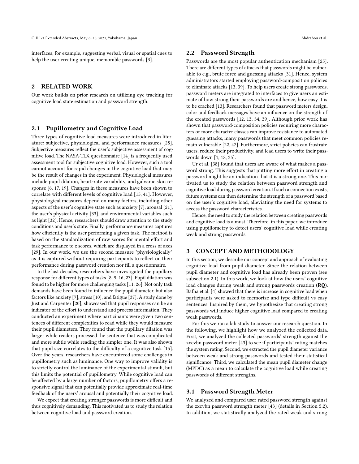interfaces, for example, suggesting verbal, visual or spatial cues to help the user creating unique, memorable passwords [3].

# 2 RELATED WORK

Our work builds on prior research on utilizing eye tracking for cognitive load state estimation and password strength.

## 2.1 Pupillometry and Cognitive Load

Three types of cognitive load measures were introduced in literature: subjective, physiological and performance measures [28]. Subjective measures reflect the user's subjective assessment of cognitive load. The NASA-TLX questionnaire [14] is a frequently used assessment tool for subjective cognitive load. However, such a tool cannot account for rapid changes in the cognitive load that may be the result of changes in the experiment. Physiological measures include pupil dilation, heart-rate variability, and galvanic skin response [6, 17, 19]. Changes in these measures have been shown to correlate with different levels of cognitive load [15, 41]. However, physiological measures depend on many factors, including other aspects of the user's cognitive state such as anxiety [7], arousal [21], the user's physical activity [33], and environmental variables such as light [32]. Hence, researchers should draw attention to the study conditions and user's state. Finally, performance measures captures how efficiently is the user performing a given task. The method is based on the standardization of raw scores for mental effort and task performance to z scores, which are displayed in a cross of axes [29]. In our work, we use the second measure "physiologically" as it is captured without requiring participants to reflect on their performance during password creation nor fill a questionnaire.

In the last decades, researchers have investigated the pupillary response for different types of tasks [8, 9, 16, 23]. Pupil dilation was found to be higher for more challenging tasks [11, 26]. Not only task demands have been found to influence the pupil diameter, but also factors like anxiety [7], stress [10], and fatigue [37]. A study done by Just and Carpenter [20], showcased that pupil responses can be an indicator of the effort to understand and process information. They conducted an experiment where participants were given two sentences of different complexities to read while they would measure their pupil diameters. They found that the pupillary dilation was larger while readers processed the sentence that was complicated and more subtle while reading the simpler one. It was also shown that pupil size correlates to the difficulty of a cognitive task [15]. Over the years, researchers have encountered some challenges in pupillometry such as luminance. One way to improve validity is to strictly control the luminance of the experimental stimuli, but this limits the potential of pupillometry. While cognitive load can be affected by a large number of factors, pupillometry offers a responsive signal that can potentially provide approximate real-time feedback of the users' arousal and potentially their cognitive load.

We expect that creating stronger passwords is more difficult and thus cognitively demanding. This motivated us to study the relation between cognitive load and password creation.

#### 2.2 Password Strength

Passwords are the most popular authentication mechanism [25]. There are different types of attacks that passwords might be vulnerable to e.g., brute force and guessing attacks [31]. Hence, system administrators started employing password-composition policies to eliminate attacks [13, 39]. To help users create strong passwords, password meters are integrated to interfaces to give users an estimate of how strong their passwords are and hence, how easy it is to be cracked [13]. Researchers found that password meters design, color and feedback messages have an influence on the strength of the created passwords [12, 13, 34, 39]. Although prior work has shown that password-composition policies requiring more characters or more character classes can improve resistance to automated guessing attacks, many passwords that meet common policies remain vulnerable [22, 42]. Furthermore, strict policies can frustrate users, reduce their productivity, and lead users to write their passwords down [1, 18, 35].

Ur et al. [38] found that users are aware of what makes a password strong. This suggests that putting more effort in creating a password might be an indication that it is a strong one. This motivated us to study the relation between password strength and cognitive load during password creation. If such a connection exists, future systems can then determine the strength of a password based on the user's cognitive load, alleviating the need for systems to access the password characteristics.

Hence, the need to study the relation between creating passwords and cognitive load is a must. Therefore, in this paper, we introduce using pupillometry to detect users' cognitive load while creating weak and strong passwords.

## 3 CONCEPT AND METHODOLOGY

In this section, we describe our concept and approach of evaluating cognitive load from pupil diameter. Since the relation between pupil diameter and cognitive load has already been proven (see subsection 2.1). In this work, we look at how the users' cognitive load changes during weak and strong passwords creation (RQ). Bafna et al. [4] showed that there is increase in cognitive load when participants were asked to memorize and type difficult vs easy sentences. Inspired by them, we hypothesize that creating strong passwords will induce higher cognitive load compared to creating weak passwords.

For this we ran a lab study to answer our research question. In the following, we highlight how we analyzed the collected data. First, we analyzed the collected passwords' strength against the zxcvbn password meter [43] to see if participants' rating matches the system rating. Second, we extracted the pupil diameter variance between weak and strong passwords and tested their statistical significance. Third, we calculated the mean pupil diameter change (MPDC) as a mean to calculate the cognitive load while creating passwords of different strengths.

#### 3.1 Password Strength Meter

We analyzed and compared user rated password strength against the zxcvbn password strength meter [43] (details in Section 5.2). In addition, we statistically analyzed the rated weak and strong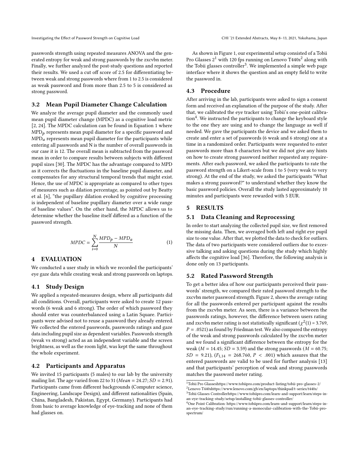passwords strength using repeated measures ANOVA and the generated entropy for weak and strong passwords by the zxcvbn meter. Finally, we further analyzed the post-study questions and reported their results. We used a cut off score of 2.5 for differentiating between weak and strong passwords where from 1 to 2.5 is considered as weak password and from more than 2.5 to 5 is considered as strong password.

#### 3.2 Mean Pupil Diameter Change Calculation

We analyze the average pupil diameter and the commonly used mean pupil diameter change (MPDC) as a cognitive load metric [2, 24]. The MPDC calculation can be found in Equation 1 where  $\text{MPD}_{p}$  represents mean pupil diameter for a specific password and  $\text{MPD}_a$  represents mean pupil diameter for the participants while entering all passwords and N is the number of overall passwords in our case it is 12. The overall mean is subtracted from the password mean in order to compare results between subjects with different pupil sizes [30]. The MPDC has the advantage compared to MPD as it corrects the fluctuations in the baseline pupil diameter, and compensates for any structural temporal trends that might exist. Hence, the use of MPDC is appropriate as compared to other types of measures such as dilation percentage, as pointed out by Beatty et al. [6], "the pupillary dilation evoked by cognitive processing is independent of baseline pupillary diameter over a wide range of baseline values". On the other hand, the MPDC allows us to determine whether the baseline itself differed as a function of the password strength.

$$
MPDC = \sum_{i=0}^{N} \frac{MPD_p - MPD_a}{N}
$$
 (1)

#### 4 EVALUATION

We conducted a user study in which we recorded the participants' eye gaze data while creating weak and strong passwords on laptops.

## 4.1 Study Design

We applied a repeated-measures design, where all participants did all conditions. Overall, participants were asked to create 12 passwords (6 weak and 6 strong). The order of which password they should enter was counterbalanced using a Latin Square. Participants were advised not to reuse a password they already entered. We collected the entered passwords, passwords ratings and gaze data including pupil size as dependent variables. Passwords strength (weak vs strong) acted as an independent variable and the screen brightness, as well as the room light, was kept the same throughout the whole experiment.

#### 4.2 Participants and Apparatus

We invited 15 participants (5 males) to our lab by the university mailing list. The age varied from 22 to 31 ( $Mean = 24.27; SD = 2.91$ ). Participants came from different backgrounds (Computer science, Engineering, Landscape Design), and different nationalities (Spain, China, Bangladesh, Pakistan, Egypt, Germany). Participants had from basic to average knowledge of eye-tracking and none of them had glasses on.

As shown in Figure 1, our experimental setup consisted of a Tobii Pro Glasses 2 $^1$  with 120 fps running on Lenovo T440s $^2$  along with the Tobii glasses controller $^3$ . We implemented a simple web page interface where it shows the question and an empty field to write the password in.

## 4.3 Procedure

After arriving in the lab, participants were asked to sign a consent form and received an explanation of the purpose of the study. After that, we calibrated the eye tracker using Tobii's one-point calibra- $\text{tion}^4$ . We instructed the participants to change the keyboard style to the one they are using and to change the language as well if needed. We gave the participants the device and we asked them to create and enter a set of passwords (6 weak and 6 strong) one at a time in a randomized order. Participants were requested to enter passwords more than 8 characters but we did not give any hints on how to create strong password neither requested any requirements. After each password, we asked the participants to rate the password strength on a Likert-scale from 1 to 5 (very weak to very strong). At the end of the study, we asked the participants "What makes a strong password?" to understand whether they know the basic password policies. Overall the study lasted approximately 10 minutes and participants were rewarded with 5 EUR.

## 5 RESULTS

#### 5.1 Data Cleaning and Reprocessing

In order to start analyzing the collected pupil size, we first removed the missing data. Then, we averaged both left and right eye pupil size to one value. After that, we plotted the data to check for outliers. The data of two participants were considered outliers due to excessive talking and asking questions during the study which highly affects the cognitive load [36]. Therefore, the following analysis is done only on 13 participants.

#### 5.2 Rated Password Strength

To get a better idea of how our participants perceived their passwords' strength, we compared their rated password strength to the zxcvbn meter password strength. Figure 2, shows the average rating for all the passwords entered per participant against the results from the zxcvbn meter. As seen, there is a variance between the passwords ratings, however, the difference between users rating and zxcvbn meter rating is not statistically significant ( $\chi^2(1)$  = 3.769,  $P = .0521$ ) as found by Friedman test. We also compared the entropy of the weak and strong passwords calculated by the zxcvbn meter and we found a significant difference between the entropy for the weak ( $M = 14.45$ ;  $SD = 3.59$ ) and the strong passwords ( $M = 60.75$ ;  $SD = 9.21$ ,  $(F_{1,14} = 268.760, P < .001)$  which assures that the entered passwords are valid to be used for further analysis [13] and that participants' perception of weak and strong passwords matches the password meter rating.

<sup>1</sup>Tobii Pro Glasse[shttps://www.tobiipro.com/product-listing/tobii-pro-glasses-2/](https://www.tobiipro.com/product-listing/tobii-pro-glasses-2/)

<sup>2</sup>Lenovo T440[shttps://www.lenovo.com/gb/en/laptops/thinkpad/t-series/t440s/](https://www.lenovo.com/gb/en/laptops/thinkpad/t-series/t440s/) <sup>3</sup>Tobii Glasses Controlle[rhttps://www.tobiipro.com/learn-and-support/learn/steps-in](https://www.tobiipro.com/learn-and-support/learn/steps-in-an-eye-tracking-study/setup/installing-tobii-glasses-controller/)[an-eye-tracking-study/setup/installing-tobii-glasses-controller/](https://www.tobiipro.com/learn-and-support/learn/steps-in-an-eye-tracking-study/setup/installing-tobii-glasses-controller/)

<sup>4</sup>One Point Calibration: [https://www.tobiipro.com/learn-and-support/learn/steps-in](https://www.tobiipro.com/learn-and-support/learn/steps-in-an-eye-tracking-study/run/running-a-monocular-calibration-with-the-Tobii-pro-spectrum/)[an-eye-tracking-study/run/running-a-monocular-calibration-with-the-Tobii-pro](https://www.tobiipro.com/learn-and-support/learn/steps-in-an-eye-tracking-study/run/running-a-monocular-calibration-with-the-Tobii-pro-spectrum/)[spectrum/](https://www.tobiipro.com/learn-and-support/learn/steps-in-an-eye-tracking-study/run/running-a-monocular-calibration-with-the-Tobii-pro-spectrum/)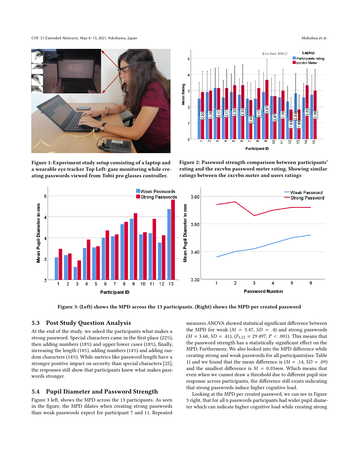CHI '21 Extended Abstracts, May 8–13, 2021, Yokohama, Japan Abdrabou et al.



Figure 1: Experiment study setup consisting of a laptop and a wearable eye tracker Top Left: gaze monitoring while creating passwords viewed from Tobii pro glasses controller.



Figure 2: Password strength comparison between participants' rating and the zxcvbn password meter rating. Showing similar ratings between the zxcvbn meter and users ratings



Figure 3: (Left) shows the MPD across the 13 participants. (Right) shows the MPD per created password

## 5.3 Post Study Question Analysis

At the end of the study, we asked the participants what makes a strong password. Special characters came in the first place (22%), then adding numbers (18%) and upper/lower cases (18%), finally, increasing the length (14%), adding numbers (14%) and adding random characters (14%). While metrics like password length have a stronger positive impact on security than special characters [25], the responses still show that participants knew what makes passwords stronger.

#### 5.4 Pupil Diameter and Password Strength

Figure 3 left, shows the MPD across the 13 participants. As seen in the figure, the MPD dilates when creating strong passwords than weak passwords expect for participant 7 and 11. Repeated

measures ANOVA showed statistical significant difference between the MPD for weak ( $M = 3.47$ ,  $SD = .4$ ) and strong passwords  $(M = 3.60, SD = .41), (F<sub>1,12</sub> = 29.497, P < .001).$  This means that the password strength has a statistically significant effect on the MPD. Furthermore, We also looked into the MPD difference while creating strong and weak passwords for all participants(see Table 1) and we found that the mean difference is  $(M = .14, SD = .09)$ and the smallest difference is  $M = 0.03$ mm. Which means that even when we cannot draw a threshold due to different pupil size response across participants, the difference still exists indicating that strong passwords induce higher cognitive load.

Looking at the MPD per created password, we can see in Figure 3 right, that for all 6 passwords participants had wider pupil diameter which can indicate higher cognitive load while creating strong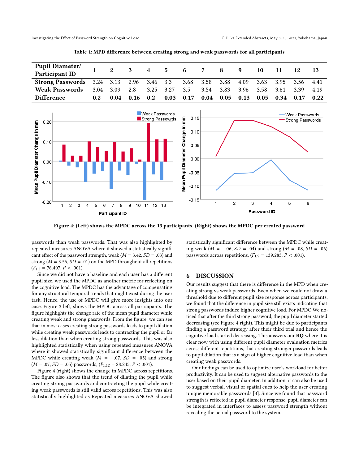| <b>Pupil Diameter/</b><br><b>Participant ID</b>                     |                  | 2 <sup>1</sup> | 3 4 5 6 7 8 9               |     |      |      |           |                      |                | - 10              | 11                  | <b>12</b> |      |
|---------------------------------------------------------------------|------------------|----------------|-----------------------------|-----|------|------|-----------|----------------------|----------------|-------------------|---------------------|-----------|------|
| <b>Strong Passwords</b> 3.24 3.13 2.96 3.46 3.3 3.68 3.58 3.88 4.09 |                  |                |                             |     |      |      |           |                      |                |                   | 3.63 3.95 3.56 4.41 |           |      |
| <b>Weak Passwords</b>                                               |                  |                | 3.04 3.09 2.8 3.25 3.27 3.5 |     |      |      | 3.54 3.83 |                      | 3.96 3.58 3.61 |                   |                     | 3.39 4.19 |      |
| Difference                                                          | 0.2 <sub>1</sub> | 0.04           | 0.16                        | 0.2 | 0.03 | 0.17 |           | $0.04$ $0.05$ $0.13$ |                | $0.05 \quad 0.34$ |                     | 0.17      | 0.22 |

Table 1: MPD difference between creating strong and weak passwords for all participants



Figure 4: (Left) shows the MPDC across the 13 participants. (Right) shows the MPDC per created password

passwords than weak passwords. That was also highlighted by repeated-measures ANOVA where it showed a statistically significant effect of the password strength, weak ( $M = 3.42$ ,  $SD = .03$ ) and strong ( $M = 3.56$ ,  $SD = .01$ ) on the MPD throughout all repetitions  $(F_{1,5} = 76.407, P < .001).$ 

Since we did not have a baseline and each user has a different pupil size, we used the MPDC as another metric for reflecting on the cognitive load. The MPDC has the advantage of compensating for any structural temporal trends that might exist during the user task. Hence, the use of MPDC will give more insights into our case. Figure 3 left, shows the MPDC across all participants. The figure highlights the change rate of the mean pupil diameter while creating weak and strong passwords. From the figure, we can see that in most cases creating strong passwords leads to pupil dilation while creating weak passwords leads to contracting the pupil or far less dilation than when creating strong passwords. This was also highlighted statistically when using repeated measures ANOVA where it showed statistically significant difference between the MPDC while creating weak ( $M = -.07$ ,  $SD = .05$ ) and strong  $(M = .07, SD = .05)$  passwords,  $(F_{1,12} = 28.245, P < .001)$ .

Figure 4 (right) shows the change in MPDC across repetitions. The figure also shows that the trend of dilating the pupil while creating strong passwords and contracting the pupil while creating weak passwords is still valid across repetitions. This was also statistically highlighted as Repeated measures ANOVA showed

statistically significant difference between the MPDC while creating weak ( $M = −.06$ ,  $SD = .04$ ) and strong ( $M = .08$ ,  $SD = .06$ ) passwords across repetitions,  $(F_{1,5} = 139.283, P < .001)$ .

#### 6 DISCUSSION

Our results suggest that there is difference in the MPD when creating strong vs weak passwords. Even when we could not draw a threshold due to different pupil size response across participants, we found that the difference in pupil size still exists indicating that strong passwords induce higher cognitive load. For MPDC We noticed that after the third strong password, the pupil diameter started decreasing (see Figure 4 right). This might be due to participants finding a password strategy after their third trial and hence the cognitive load started decreasing. This answers our RQ where it is clear now with using different pupil diameter evaluation metrics across different repetitions, that creating stronger passwords leads to pupil dilation that is a sign of higher cognitive load than when creating weak passwords.

Our findings can be used to optimize user's workload for better productivity. It can be used to suggest alternative passwords to the user based on their pupil diameter. In addition, it can also be used to suggest verbal, visual or spatial cues to help the user creating unique memorable passwords [3]. Since we found that password strength is reflected in pupil diameter response, pupil diameter can be integrated in interfaces to assess password strength without revealing the actual password to the system.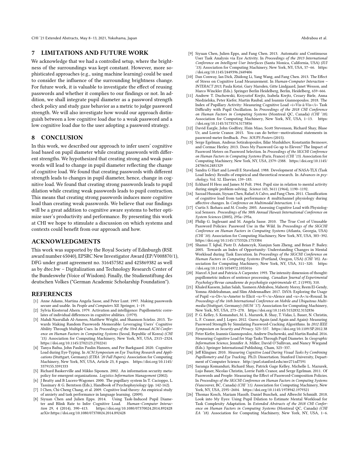CHI '21 Extended Abstracts, May 8–13, 2021, Yokohama, Japan Abdrabou et al.

#### 7 LIMITATIONS AND FUTURE WORK

We acknowledge that we had a controlled setup, where the brightness of the surroundings was kept constant. However, more sophisticated approaches (e.g., using machine learning) could be used to consider the influence of the surrounding brightness change. For future work, it is valuable to investigate the effect of reusing passwords and whether it complies to our findings or not. In addition, we shall integrate pupil diameter as a password strength check policy and study gaze behavior as a metric to judge password strength. We will also investigate how would our approach distinguish between a low cognitive load due to a weak password and a low cognitive load due to the user adopting a password strategy.

## 8 CONCLUSION

In this work, we described our approach to infer users' cognitive load based on pupil diameter while creating passwords with different strengths. We hypothesized that creating strong and weak passwords will lead to change in pupil diameter reflecting the change of cognitive load. We found that creating passwords with different strength leads to changes in pupil diameter, hence, change in cognitive load. We found that creating strong passwords leads to pupil dilation while creating weak passwords leads to pupil contraction. This means that creating strong passwords induces more cognitive load than creating weak passwords. We believe that our findings will be a great addition to cognitive aware systems to better optimize user's productivity and performance. By presenting this work at CHI we hope to stimulate a discussion on which systems and contexts could benefit from our approach and how.

## ACKNOWLEDGMENTS

This work was supported by the Royal Society of Edinburgh (RSE award number 65040), EPSRC New Investigator Award (EP/V008870/1), DFG under grant agreement no. 316457582 and 425869382 as well as by dtec.bw – Digitalization and Technology Research Center of the Bundeswehr (Voice of Wisdom). Finally, the Studienstiftung des deutschen Volkes ("German Academic Scholarship Foundation").

#### **REFERENCES**

- [1] Anne Adams, Martina Angela Sasse, and Peter Lunt. 1997. Making passwords secure and usable. In People and Computers XII. Springer, 1-19.
- [2] Sylvia Kiosterud Ahern. 1979. Activation and intelligence: Pupillometric correlates of individual differences in cognitive abilities. (1979).
- [3] Mahdi Nasrullah Al-Ameen, Matthew Wright, and Shannon Scielzo. 2015. Towards Making Random Passwords Memorable: Leveraging Users' Cognitive Ability Through Multiple Cues. In Proceedings of the 33rd Annual ACM Conference on Human Factors in Computing Systems (Seoul, Republic of Korea) (CHI '15). Association for Computing Machinery, New York, NY, USA, 2315–2324. <https://doi.org/10.1145/2702123.2702241>
- [4] Tanya Bafna, John Paulin Paulin Hansen, and Per Baekgaard. 2020. Cognitive Load during Eye-Typing. In ACM Symposium on Eye Tracking Research and Applications (Stuttgart, Germany) (ETRA '20 Full Papers). Association for Computing Machinery, New York, NY, USA, Article 23, 8 pages. [https://doi.org/10.1145/](https://doi.org/10.1145/3379155.3391333) [3379155.3391333](https://doi.org/10.1145/3379155.3391333)
- [5] Richard Baskerville and Mikko Siponen. 2002. An information security metapolicy for emergent organizations. Logistics Information Management (2002).
- [6] J Beatty and B Lucero-Wagoner. 2000. The pupillary system In T. Cacioppo, L. Tassinary & G. Berntson (Eds.), Handbook of Psychophsyiology (pp. 142-162).
- [7] I Chen, Chi-Cheng Chang, et al. 2009. Cognitive load theory: An empirical study
- of anxiety and task performance in language learning. (2009). [8] Siyuan Chen and Julien Epps. 2014. Using Task-Induced Pupil Diameter and Blink Rate to Infer Cognitive Load. Human–Computer Interaction 29, 4 (2014), 390–413. https://doi.org/10.1080/07370024.2014.892428 https://doi.org/10.1080/07370024.2014.892428 arXiv[:https://doi.org/10.1080/07370024.2014.892428](https://arxiv.org/abs/https://doi.org/10.1080/07370024.2014.892428)
- [9] Siyuan Chen, Julien Epps, and Fang Chen. 2013. Automatic and Continuous User Task Analysis via Eye Activity. In Proceedings of the 2013 International Conference on Intelligent User Interfaces (Santa Monica, California, USA) (IUI '13). Association for Computing Machinery, New York, NY, USA, 57–66. [https:](https://doi.org/10.1145/2449396.2449406) [//doi.org/10.1145/2449396.2449406](https://doi.org/10.1145/2449396.2449406)
- [10] Dan Conway, Ian Dick, Zhidong Li, Yang Wang, and Fang Chen. 2013. The Effect of Stress on Cognitive Load Measurement. In Human-Computer Interaction – INTERACT 2013, Paula Kotzé, Gary Marsden, Gitte Lindgaard, Janet Wesson, and Marco Winckler (Eds.). Springer Berlin Heidelberg, Berlin, Heidelberg, 659–666.
- [11] Andrew T. Duchowski, Krzysztof Krejtz, Izabela Krejtz, Cezary Biele, Anna Niedzielska, Peter Kiefer, Martin Raubal, and Ioannis Giannopoulos. 2018. The Index of Pupillary Activity: Measuring Cognitive Load <i>Vis-à-Vis</i></i> Task Difficulty with Pupil Oscillation. In Proceedings of the 2018 CHI Conference on Human Factors in Computing Systems (Montreal QC, Canada) (CHI '18). Association for Computing Machinery, New York, NY, USA, 1–13. [https:](https://doi.org/10.1145/3173574.3173856) [//doi.org/10.1145/3173574.3173856](https://doi.org/10.1145/3173574.3173856)
- [12] David Eargle, John Godfrey, Hsin Miao, Scott Stevenson, Richard Shay, Blase Ur, and Lorrie Cranor. 2015. You can do better—motivational statements in password-meter feedback. Proc. SOUPS Posters (2015).
- [13] Serge Egelman, Andreas Sotirakopoulos, Ildar Muslukhov, Konstantin Beznosov, and Cormac Herley. 2013. Does My Password Go up to Eleven? The Impact of Password Meters on Password Selection. In Proceedings of the SIGCHI Conference on Human Factors in Computing Systems (Paris, France) (CHI '13). Association for Computing Machinery, New York, NY, USA, 2379–2388. [https://doi.org/10.1145/](https://doi.org/10.1145/2470654.2481329) [2470654.2481329](https://doi.org/10.1145/2470654.2481329)
- [14] Sandra G Hart and Lowell E Staveland. 1988. Development of NASA-TLX (Task Load Index): Results of empirical and theoretical research. In Advances in psychology. Vol. 52. Elsevier, 139–183.
- [15] Eckhard H Hess and James M Polt. 1964. Pupil size in relation to mental activity during simple problem-solving. Science 143, 3611 (1964), 1190–1192.
- [16] Sazzad Hussain, Siyuan Chen, Rafael A Calvo, and Fang Chen. 2011. Classification of cognitive load from task performance & multichannel physiology during affective changes. In Conference on Multimodal Interaction. 1–4.
- [17] Curtis S. Ikehara and M. Crosby. 2005. Assessing Cognitive Load with Physiological Sensors. Proceedings of the 38th Annual Hawaii International Conference on System Sciences (2005), 295a–295a.
- [18] Philip G. Inglesant and M. Angela Sasse. 2010. The True Cost of Unusable Password Policies: Password Use in the Wild. In Proceedings of the SIGCHI Conference on Human Factors in Computing Systems (Atlanta, Georgia, USA) (CHI '10). Association for Computing Machinery, New York, NY, USA, 383–392. <https://doi.org/10.1145/1753326.1753384>
- [19] Shamsi T. Iqbal, Piotr D. Adamczyk, Xianjun Sam Zheng, and Brian P. Bailey. 2005. Towards an Index of Opportunity: Understanding Changes in Mental Workload during Task Execution. In Proceedings of the SIGCHI Conference on Human Factors in Computing Systems (Portland, Oregon, USA) (CHI '05). Association for Computing Machinery, New York, NY, USA, 311–320. [https:](https://doi.org/10.1145/1054972.1055016) [//doi.org/10.1145/1054972.1055016](https://doi.org/10.1145/1054972.1055016)
- [20] Marcel A Just and Patricia A Carpenter. 1993. The intensity dimension of thought: pupillometric indices of sentence processing. Canadian Journal of Experimental Psychology/Revue canadienne de psychologie expérimentale 47, 2 (1993), 310.
- [21] Khaled Kassem, Jailan Salah, Yasmeen Abdrabou, Mahesty Morsy, Reem El-Gendy, Yomna Abdelrahman, and Slim Abdennadher. 2017. DiVA: Exploring the Usage of Pupil <u>Di</u>Ameter to Elicit <u>V</u>Alence and <u>A</u>Aousal. In Proceedings of the 16th International Conference on Mobile and Ubiquitous Multimedia (Stuttgart, Germany) (MUM '17). Association for Computing Machinery, New York, NY, USA, 273–278.<https://doi.org/10.1145/3152832.3152836>
- [22] P. G. Kelley, S. Komanduri, M. L. Mazurek, R. Shay, T. Vidas, L. Bauer, N. Christin, L. F. Cranor, and J. Lopez. 2012. Guess Again (and Again and Again): Measuring Password Strength by Simulating Password-Cracking Algorithms. In 2012 IEEE Symposium on Security and Privacy. 523–537.<https://doi.org/10.1109/SP.2012.38>
- [23] Peter Kiefer, Ioannis Giannopoulos, Andrew Duchowski, and Martin Raubal. 2016. Measuring Cognitive Load for Map Tasks Through Pupil Diameter. In Geographic Information Science, Jennifer A. Miller, David O'Sullivan, and Nancy Wiegand (Eds.). Springer International Publishing, Cham, 323–337.
- [24] Jeff Klingner. 2010. Measuring Cognitive Load During Visual Tasks by Combining Pupillometry and Eye Tracking. Ph.D. Dissertation. Stanford University, Department of Computer Science.<http://purl.stanford.edu/mv271zd7591>
- [25] Saranga Komanduri, Richard Shay, Patrick Gage Kelley, Michelle L. Mazurek, Lujo Bauer, Nicolas Christin, Lorrie Faith Cranor, and Serge Egelman. 2011. Of Passwords and People: Measuring the Effect of Password-Composition Policies. In Proceedings of the SIGCHI Conference on Human Factors in Computing Systems (Vancouver, BC, Canada) (CHI '11). Association for Computing Machinery, New York, NY, USA, 2595–2604.<https://doi.org/10.1145/1978942.1979321>
- [26] Thomas Kosch, Mariam Hassib, Daniel Buschek, and Albrecht Schmidt. 2018. Look into My Eyes: Using Pupil Dilation to Estimate Mental Workload for Task Complexity Adaptation. In Extended Abstracts of the 2018 CHI Conference on Human Factors in Computing Systems (Montreal QC, Canada) (CHI EA '18). Association for Computing Machinery, New York, NY, USA, 1–6.